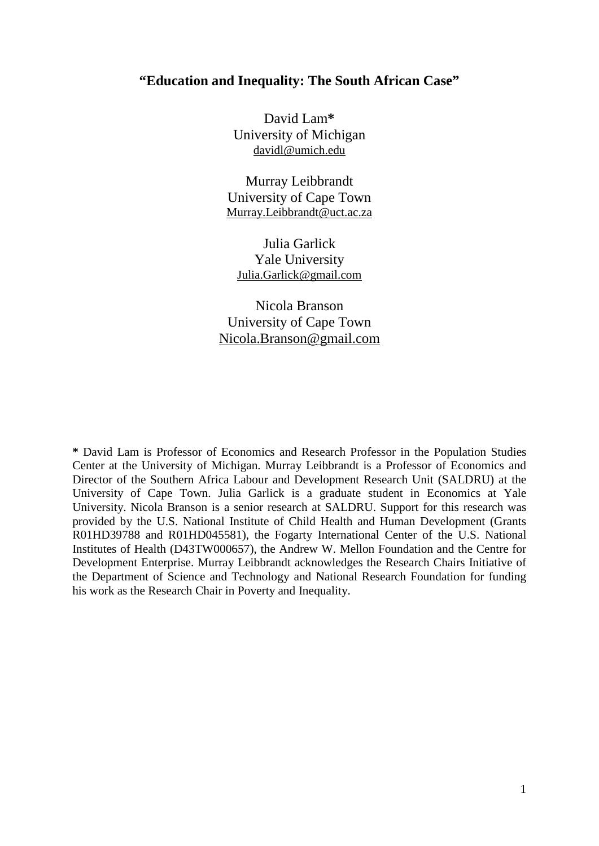## **"Education and Inequality: The South African Case"**

David Lam**\*** University of Michigan [davidl@umich.edu](mailto:davidl@umich.edu)

Murray Leibbrandt University of Cape Town [Murray.Leibbrandt@uct.ac.za](mailto:Murray.Leibbrandt@uct.ac.za)

Julia Garlick Yale University Julia.Garlick@gmail.com

Nicola Branson University of Cape Town Nicola.Branson@gmail.com

**\*** David Lam is Professor of Economics and Research Professor in the Population Studies Center at the University of Michigan. Murray Leibbrandt is a Professor of Economics and Director of the Southern Africa Labour and Development Research Unit (SALDRU) at the University of Cape Town. Julia Garlick is a graduate student in Economics at Yale University. Nicola Branson is a senior research at SALDRU. Support for this research was provided by the U.S. National Institute of Child Health and Human Development (Grants R01HD39788 and R01HD045581), the Fogarty International Center of the U.S. National Institutes of Health (D43TW000657), the Andrew W. Mellon Foundation and the Centre for Development Enterprise. Murray Leibbrandt acknowledges the Research Chairs Initiative of the Department of Science and Technology and National Research Foundation for funding his work as the Research Chair in Poverty and Inequality.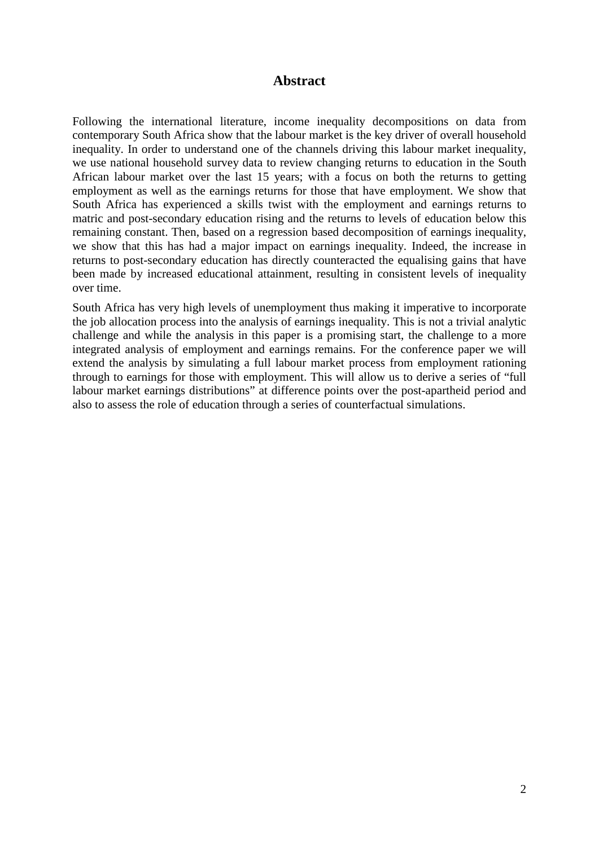### **Abstract**

Following the international literature, income inequality decompositions on data from contemporary South Africa show that the labour market is the key driver of overall household inequality. In order to understand one of the channels driving this labour market inequality, we use national household survey data to review changing returns to education in the South African labour market over the last 15 years; with a focus on both the returns to getting employment as well as the earnings returns for those that have employment. We show that South Africa has experienced a skills twist with the employment and earnings returns to matric and post-secondary education rising and the returns to levels of education below this remaining constant. Then, based on a regression based decomposition of earnings inequality, we show that this has had a major impact on earnings inequality. Indeed, the increase in returns to post-secondary education has directly counteracted the equalising gains that have been made by increased educational attainment, resulting in consistent levels of inequality over time.

South Africa has very high levels of unemployment thus making it imperative to incorporate the job allocation process into the analysis of earnings inequality. This is not a trivial analytic challenge and while the analysis in this paper is a promising start, the challenge to a more integrated analysis of employment and earnings remains. For the conference paper we will extend the analysis by simulating a full labour market process from employment rationing through to earnings for those with employment. This will allow us to derive a series of "full labour market earnings distributions" at difference points over the post-apartheid period and also to assess the role of education through a series of counterfactual simulations.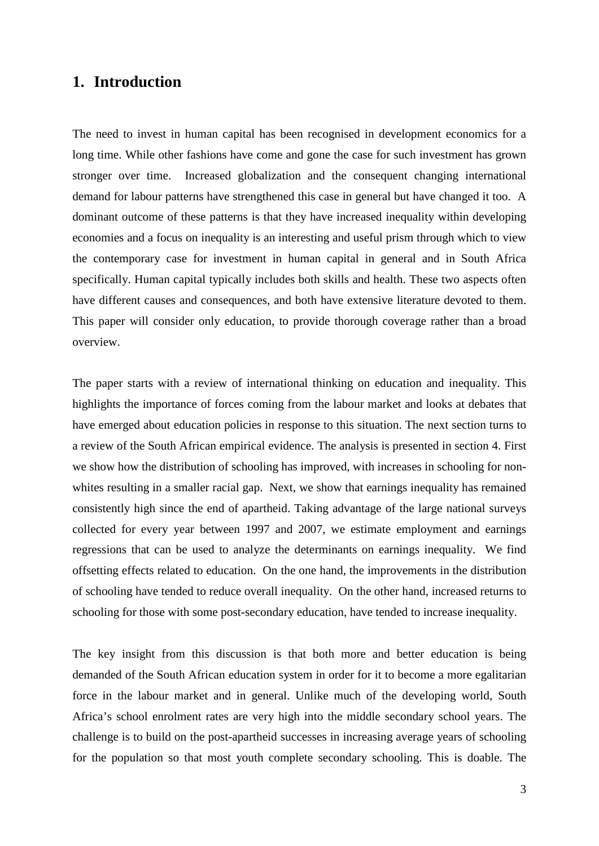## **1. Introduction**

The need to invest in human capital has been recognised in development economics for a long time. While other fashions have come and gone the case for such investment has grown stronger over time. Increased globalization and the consequent changing international demand for labour patterns have strengthened this case in general but have changed it too. A dominant outcome of these patterns is that they have increased inequality within developing economies and a focus on inequality is an interesting and useful prism through which to view the contemporary case for investment in human capital in general and in South Africa specifically. Human capital typically includes both skills and health. These two aspects often have different causes and consequences, and both have extensive literature devoted to them. This paper will consider only education, to provide thorough coverage rather than a broad overview.

The paper starts with a review of international thinking on education and inequality. This highlights the importance of forces coming from the labour market and looks at debates that have emerged about education policies in response to this situation. The next section turns to a review of the South African empirical evidence. The analysis is presented in section 4. First we show how the distribution of schooling has improved, with increases in schooling for nonwhites resulting in a smaller racial gap. Next, we show that earnings inequality has remained consistently high since the end of apartheid. Taking advantage of the large national surveys collected for every year between 1997 and 2007, we estimate employment and earnings regressions that can be used to analyze the determinants on earnings inequality. We find offsetting effects related to education. On the one hand, the improvements in the distribution of schooling have tended to reduce overall inequality. On the other hand, increased returns to schooling for those with some post-secondary education, have tended to increase inequality.

The key insight from this discussion is that both more and better education is being demanded of the South African education system in order for it to become a more egalitarian force in the labour market and in general. Unlike much of the developing world, South Africa's school enrolment rates are very high into the middle secondary school years. The challenge is to build on the post-apartheid successes in increasing average years of schooling for the population so that most youth complete secondary schooling. This is doable. The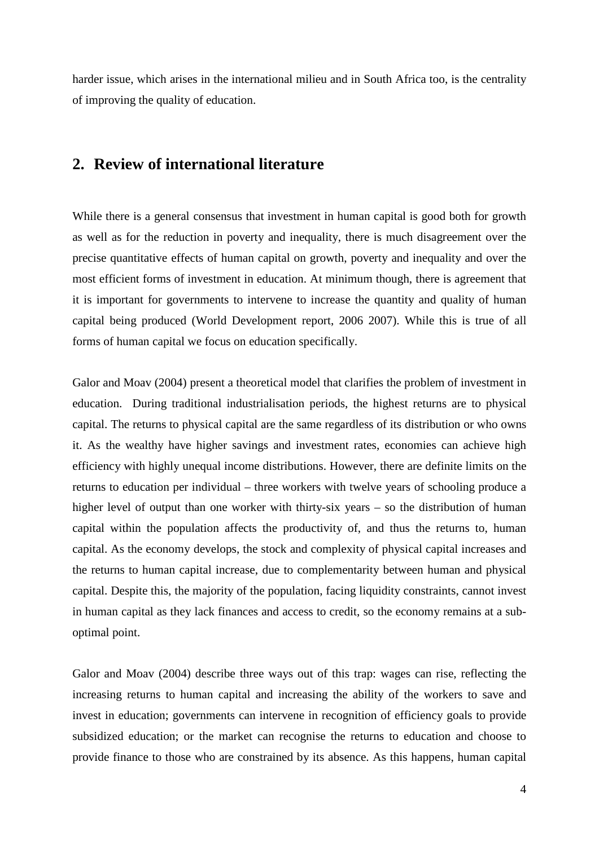harder issue, which arises in the international milieu and in South Africa too, is the centrality of improving the quality of education.

# **2. Review of international literature**

While there is a general consensus that investment in human capital is good both for growth as well as for the reduction in poverty and inequality, there is much disagreement over the precise quantitative effects of human capital on growth, poverty and inequality and over the most efficient forms of investment in education. At minimum though, there is agreement that it is important for governments to intervene to increase the quantity and quality of human capital being produced (World Development report, 2006 2007). While this is true of all forms of human capital we focus on education specifically.

Galor and Moav (2004) present a theoretical model that clarifies the problem of investment in education. During traditional industrialisation periods, the highest returns are to physical capital. The returns to physical capital are the same regardless of its distribution or who owns it. As the wealthy have higher savings and investment rates, economies can achieve high efficiency with highly unequal income distributions. However, there are definite limits on the returns to education per individual – three workers with twelve years of schooling produce a higher level of output than one worker with thirty-six years – so the distribution of human capital within the population affects the productivity of, and thus the returns to, human capital. As the economy develops, the stock and complexity of physical capital increases and the returns to human capital increase, due to complementarity between human and physical capital. Despite this, the majority of the population, facing liquidity constraints, cannot invest in human capital as they lack finances and access to credit, so the economy remains at a suboptimal point.

Galor and Moav (2004) describe three ways out of this trap: wages can rise, reflecting the increasing returns to human capital and increasing the ability of the workers to save and invest in education; governments can intervene in recognition of efficiency goals to provide subsidized education; or the market can recognise the returns to education and choose to provide finance to those who are constrained by its absence. As this happens, human capital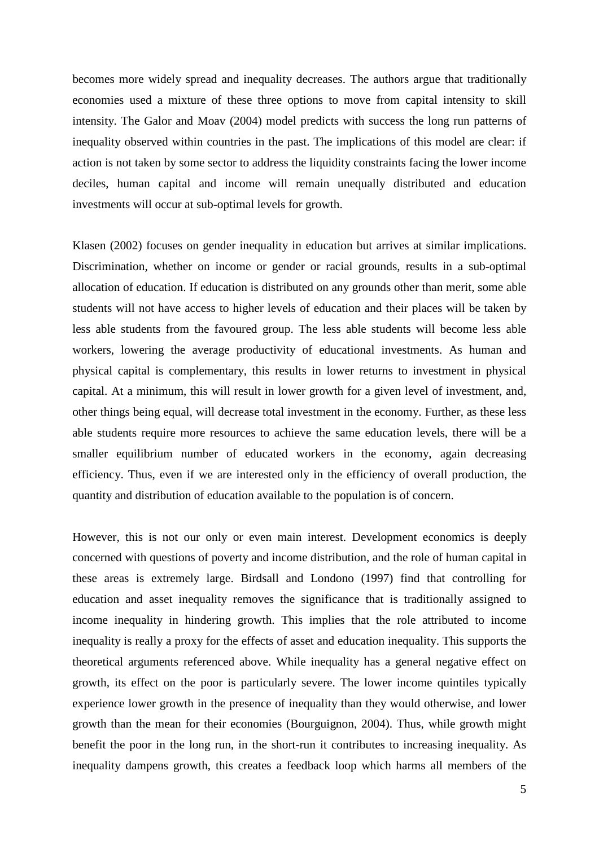becomes more widely spread and inequality decreases. The authors argue that traditionally economies used a mixture of these three options to move from capital intensity to skill intensity. The Galor and Moav (2004) model predicts with success the long run patterns of inequality observed within countries in the past. The implications of this model are clear: if action is not taken by some sector to address the liquidity constraints facing the lower income deciles, human capital and income will remain unequally distributed and education investments will occur at sub-optimal levels for growth.

Klasen (2002) focuses on gender inequality in education but arrives at similar implications. Discrimination, whether on income or gender or racial grounds, results in a sub-optimal allocation of education. If education is distributed on any grounds other than merit, some able students will not have access to higher levels of education and their places will be taken by less able students from the favoured group. The less able students will become less able workers, lowering the average productivity of educational investments. As human and physical capital is complementary, this results in lower returns to investment in physical capital. At a minimum, this will result in lower growth for a given level of investment, and, other things being equal, will decrease total investment in the economy. Further, as these less able students require more resources to achieve the same education levels, there will be a smaller equilibrium number of educated workers in the economy, again decreasing efficiency. Thus, even if we are interested only in the efficiency of overall production, the quantity and distribution of education available to the population is of concern.

However, this is not our only or even main interest. Development economics is deeply concerned with questions of poverty and income distribution, and the role of human capital in these areas is extremely large. Birdsall and Londono (1997) find that controlling for education and asset inequality removes the significance that is traditionally assigned to income inequality in hindering growth. This implies that the role attributed to income inequality is really a proxy for the effects of asset and education inequality. This supports the theoretical arguments referenced above. While inequality has a general negative effect on growth, its effect on the poor is particularly severe. The lower income quintiles typically experience lower growth in the presence of inequality than they would otherwise, and lower growth than the mean for their economies (Bourguignon, 2004). Thus, while growth might benefit the poor in the long run, in the short-run it contributes to increasing inequality. As inequality dampens growth, this creates a feedback loop which harms all members of the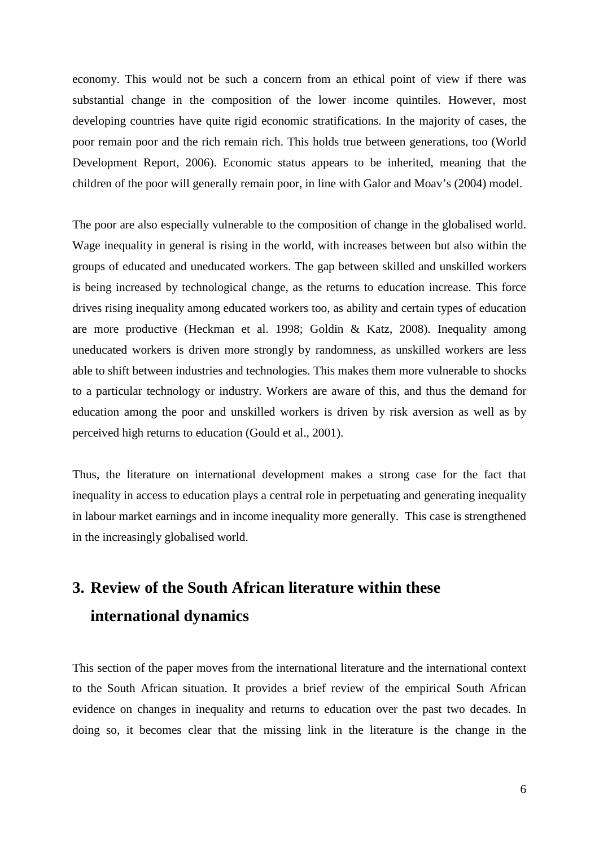economy. This would not be such a concern from an ethical point of view if there was substantial change in the composition of the lower income quintiles. However, most developing countries have quite rigid economic stratifications. In the majority of cases, the poor remain poor and the rich remain rich. This holds true between generations, too (World Development Report, 2006). Economic status appears to be inherited, meaning that the children of the poor will generally remain poor, in line with Galor and Moav's (2004) model.

The poor are also especially vulnerable to the composition of change in the globalised world. Wage inequality in general is rising in the world, with increases between but also within the groups of educated and uneducated workers. The gap between skilled and unskilled workers is being increased by technological change, as the returns to education increase. This force drives rising inequality among educated workers too, as ability and certain types of education are more productive (Heckman et al. 1998; Goldin & Katz, 2008). Inequality among uneducated workers is driven more strongly by randomness, as unskilled workers are less able to shift between industries and technologies. This makes them more vulnerable to shocks to a particular technology or industry. Workers are aware of this, and thus the demand for education among the poor and unskilled workers is driven by risk aversion as well as by perceived high returns to education (Gould et al., 2001).

Thus, the literature on international development makes a strong case for the fact that inequality in access to education plays a central role in perpetuating and generating inequality in labour market earnings and in income inequality more generally. This case is strengthened in the increasingly globalised world.

# **3. Review of the South African literature within these international dynamics**

This section of the paper moves from the international literature and the international context to the South African situation. It provides a brief review of the empirical South African evidence on changes in inequality and returns to education over the past two decades. In doing so, it becomes clear that the missing link in the literature is the change in the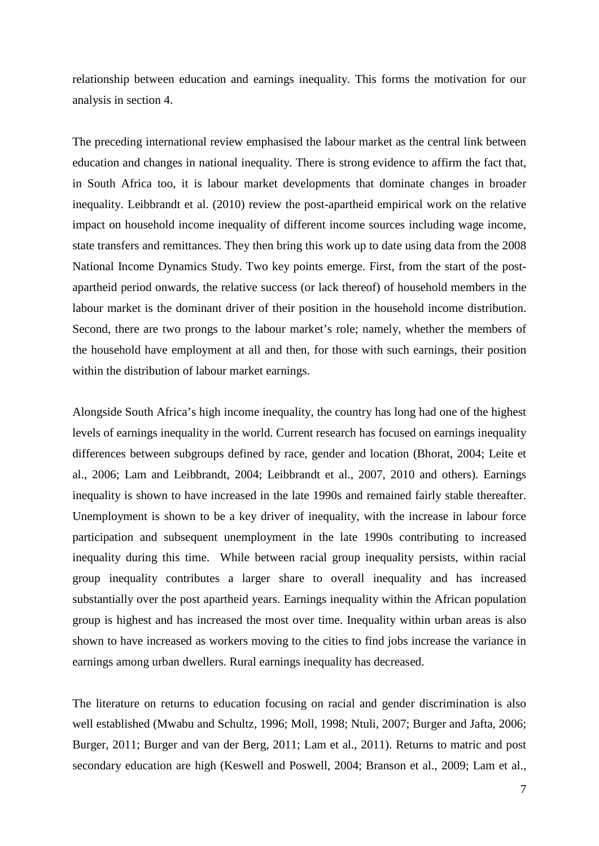relationship between education and earnings inequality. This forms the motivation for our analysis in section 4.

The preceding international review emphasised the labour market as the central link between education and changes in national inequality. There is strong evidence to affirm the fact that, in South Africa too, it is labour market developments that dominate changes in broader inequality. Leibbrandt et al. (2010) review the post-apartheid empirical work on the relative impact on household income inequality of different income sources including wage income, state transfers and remittances. They then bring this work up to date using data from the 2008 National Income Dynamics Study. Two key points emerge. First, from the start of the postapartheid period onwards, the relative success (or lack thereof) of household members in the labour market is the dominant driver of their position in the household income distribution. Second, there are two prongs to the labour market's role; namely, whether the members of the household have employment at all and then, for those with such earnings, their position within the distribution of labour market earnings.

Alongside South Africa's high income inequality, the country has long had one of the highest levels of earnings inequality in the world. Current research has focused on earnings inequality differences between subgroups defined by race, gender and location (Bhorat, 2004; Leite et al., 2006; Lam and Leibbrandt, 2004; Leibbrandt et al., 2007, 2010 and others). Earnings inequality is shown to have increased in the late 1990s and remained fairly stable thereafter. Unemployment is shown to be a key driver of inequality, with the increase in labour force participation and subsequent unemployment in the late 1990s contributing to increased inequality during this time. While between racial group inequality persists, within racial group inequality contributes a larger share to overall inequality and has increased substantially over the post apartheid years. Earnings inequality within the African population group is highest and has increased the most over time. Inequality within urban areas is also shown to have increased as workers moving to the cities to find jobs increase the variance in earnings among urban dwellers. Rural earnings inequality has decreased.

The literature on returns to education focusing on racial and gender discrimination is also well established (Mwabu and Schultz, 1996; Moll, 1998; Ntuli, 2007; Burger and Jafta, 2006; Burger, 2011; Burger and van der Berg, 2011; Lam et al., 2011). Returns to matric and post secondary education are high (Keswell and Poswell, 2004; Branson et al., 2009; Lam et al.,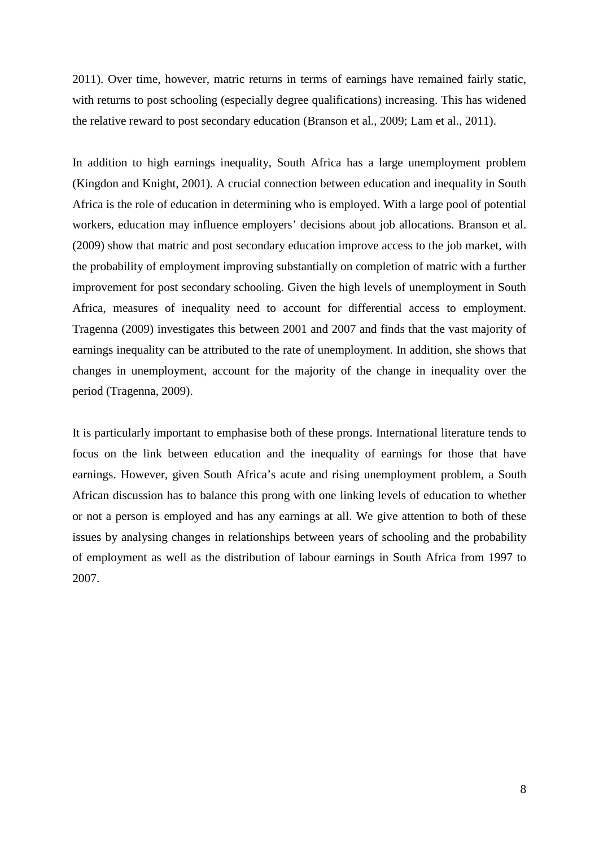2011). Over time, however, matric returns in terms of earnings have remained fairly static, with returns to post schooling (especially degree qualifications) increasing. This has widened the relative reward to post secondary education (Branson et al., 2009; Lam et al., 2011).

In addition to high earnings inequality, South Africa has a large unemployment problem (Kingdon and Knight, 2001). A crucial connection between education and inequality in South Africa is the role of education in determining who is employed. With a large pool of potential workers, education may influence employers' decisions about job allocations. Branson et al. (2009) show that matric and post secondary education improve access to the job market, with the probability of employment improving substantially on completion of matric with a further improvement for post secondary schooling. Given the high levels of unemployment in South Africa, measures of inequality need to account for differential access to employment. Tragenna (2009) investigates this between 2001 and 2007 and finds that the vast majority of earnings inequality can be attributed to the rate of unemployment. In addition, she shows that changes in unemployment, account for the majority of the change in inequality over the period (Tragenna, 2009).

It is particularly important to emphasise both of these prongs. International literature tends to focus on the link between education and the inequality of earnings for those that have earnings. However, given South Africa's acute and rising unemployment problem, a South African discussion has to balance this prong with one linking levels of education to whether or not a person is employed and has any earnings at all. We give attention to both of these issues by analysing changes in relationships between years of schooling and the probability of employment as well as the distribution of labour earnings in South Africa from 1997 to 2007.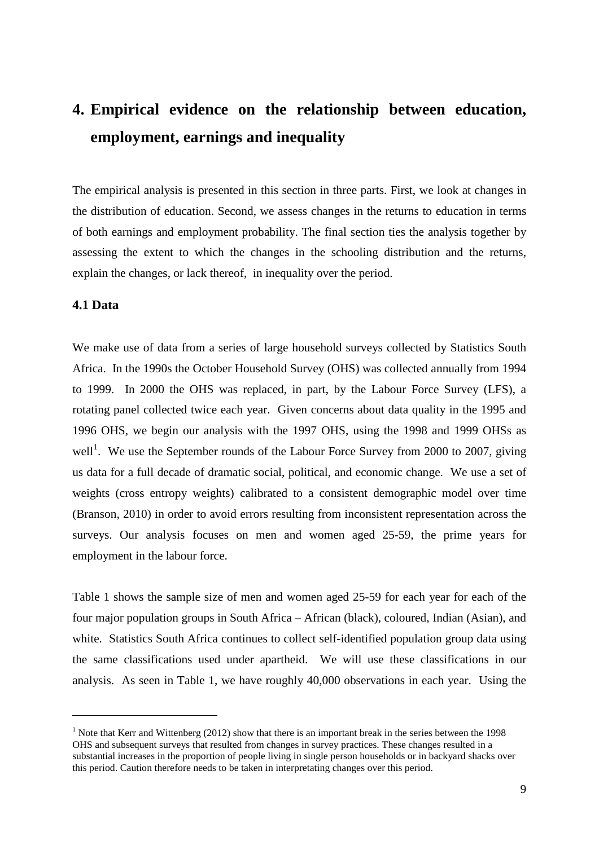# **4. Empirical evidence on the relationship between education, employment, earnings and inequality**

The empirical analysis is presented in this section in three parts. First, we look at changes in the distribution of education. Second, we assess changes in the returns to education in terms of both earnings and employment probability. The final section ties the analysis together by assessing the extent to which the changes in the schooling distribution and the returns, explain the changes, or lack thereof, in inequality over the period.

#### **4.1 Data**

<u>.</u>

We make use of data from a series of large household surveys collected by Statistics South Africa. In the 1990s the October Household Survey (OHS) was collected annually from 1994 to 1999. In 2000 the OHS was replaced, in part, by the Labour Force Survey (LFS), a rotating panel collected twice each year. Given concerns about data quality in the 1995 and 1996 OHS, we begin our analysis with the 1997 OHS, using the 1998 and 1999 OHSs as well<sup>[1](#page-8-0)</sup>. We use the September rounds of the Labour Force Survey from 2000 to 2007, giving us data for a full decade of dramatic social, political, and economic change. We use a set of weights (cross entropy weights) calibrated to a consistent demographic model over time (Branson, 2010) in order to avoid errors resulting from inconsistent representation across the surveys. Our analysis focuses on men and women aged 25-59, the prime years for employment in the labour force.

Table 1 shows the sample size of men and women aged 25-59 for each year for each of the four major population groups in South Africa – African (black), coloured, Indian (Asian), and white. Statistics South Africa continues to collect self-identified population group data using the same classifications used under apartheid. We will use these classifications in our analysis. As seen in Table 1, we have roughly 40,000 observations in each year. Using the

<span id="page-8-0"></span><sup>&</sup>lt;sup>1</sup> Note that Kerr and Wittenberg (2012) show that there is an important break in the series between the 1998 OHS and subsequent surveys that resulted from changes in survey practices. These changes resulted in a substantial increases in the proportion of people living in single person households or in backyard shacks over this period. Caution therefore needs to be taken in interpretating changes over this period.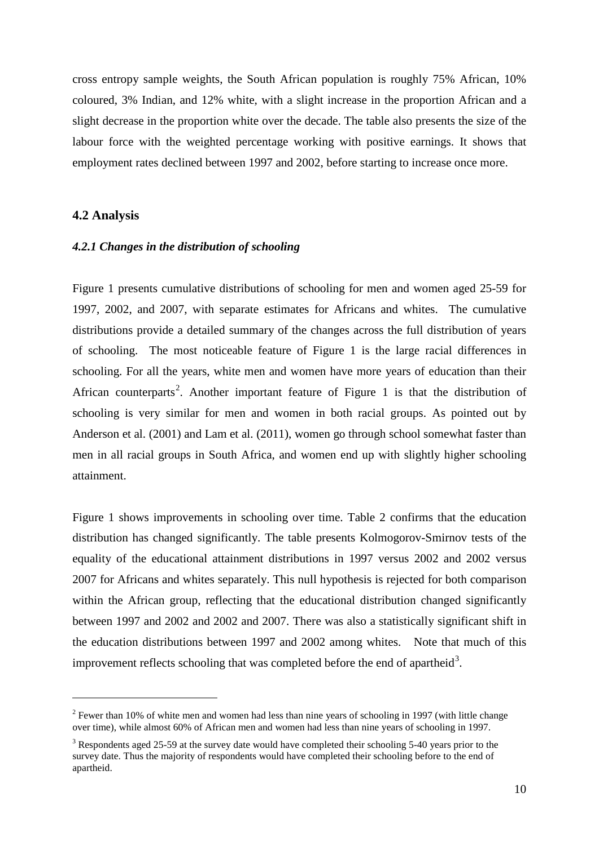cross entropy sample weights, the South African population is roughly 75% African, 10% coloured, 3% Indian, and 12% white, with a slight increase in the proportion African and a slight decrease in the proportion white over the decade. The table also presents the size of the labour force with the weighted percentage working with positive earnings. It shows that employment rates declined between 1997 and 2002, before starting to increase once more.

#### **4.2 Analysis**

-

#### *4.2.1 Changes in the distribution of schooling*

Figure 1 presents cumulative distributions of schooling for men and women aged 25-59 for 1997, 2002, and 2007, with separate estimates for Africans and whites. The cumulative distributions provide a detailed summary of the changes across the full distribution of years of schooling. The most noticeable feature of Figure 1 is the large racial differences in schooling. For all the years, white men and women have more years of education than their African counterparts<sup>[2](#page-9-0)</sup>. Another important feature of Figure 1 is that the distribution of schooling is very similar for men and women in both racial groups. As pointed out by Anderson et al. (2001) and Lam et al. (2011), women go through school somewhat faster than men in all racial groups in South Africa, and women end up with slightly higher schooling attainment.

Figure 1 shows improvements in schooling over time. Table 2 confirms that the education distribution has changed significantly. The table presents Kolmogorov-Smirnov tests of the equality of the educational attainment distributions in 1997 versus 2002 and 2002 versus 2007 for Africans and whites separately. This null hypothesis is rejected for both comparison within the African group, reflecting that the educational distribution changed significantly between 1997 and 2002 and 2002 and 2007. There was also a statistically significant shift in the education distributions between 1997 and 2002 among whites. Note that much of this improvement reflects schooling that was completed before the end of apartheid<sup>[3](#page-9-1)</sup>.

<span id="page-9-0"></span> $2$  Fewer than 10% of white men and women had less than nine years of schooling in 1997 (with little change over time), while almost 60% of African men and women had less than nine years of schooling in 1997.

<span id="page-9-1"></span><sup>3</sup> Respondents aged 25-59 at the survey date would have completed their schooling 5-40 years prior to the survey date. Thus the majority of respondents would have completed their schooling before to the end of apartheid.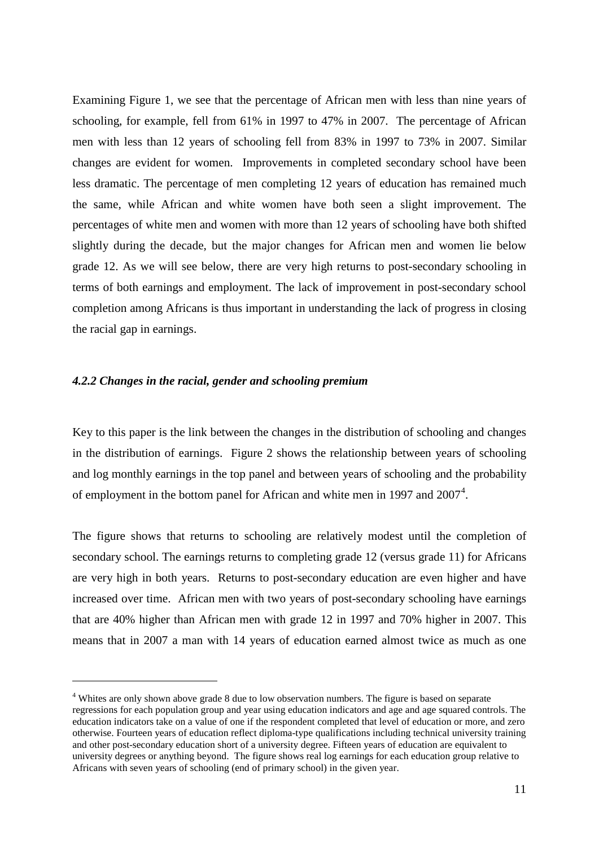Examining Figure 1, we see that the percentage of African men with less than nine years of schooling, for example, fell from 61% in 1997 to 47% in 2007. The percentage of African men with less than 12 years of schooling fell from 83% in 1997 to 73% in 2007. Similar changes are evident for women. Improvements in completed secondary school have been less dramatic. The percentage of men completing 12 years of education has remained much the same, while African and white women have both seen a slight improvement. The percentages of white men and women with more than 12 years of schooling have both shifted slightly during the decade, but the major changes for African men and women lie below grade 12. As we will see below, there are very high returns to post-secondary schooling in terms of both earnings and employment. The lack of improvement in post-secondary school completion among Africans is thus important in understanding the lack of progress in closing the racial gap in earnings.

#### *4.2.2 Changes in the racial, gender and schooling premium*

<u>.</u>

Key to this paper is the link between the changes in the distribution of schooling and changes in the distribution of earnings. Figure 2 shows the relationship between years of schooling and log monthly earnings in the top panel and between years of schooling and the probability of employment in the bottom panel for African and white men in 1997 and  $2007<sup>4</sup>$  $2007<sup>4</sup>$  $2007<sup>4</sup>$ .

The figure shows that returns to schooling are relatively modest until the completion of secondary school. The earnings returns to completing grade 12 (versus grade 11) for Africans are very high in both years. Returns to post-secondary education are even higher and have increased over time. African men with two years of post-secondary schooling have earnings that are 40% higher than African men with grade 12 in 1997 and 70% higher in 2007. This means that in 2007 a man with 14 years of education earned almost twice as much as one

<span id="page-10-0"></span><sup>&</sup>lt;sup>4</sup> Whites are only shown above grade 8 due to low observation numbers. The figure is based on separate regressions for each population group and year using education indicators and age and age squared controls. The education indicators take on a value of one if the respondent completed that level of education or more, and zero otherwise. Fourteen years of education reflect diploma-type qualifications including technical university training and other post-secondary education short of a university degree. Fifteen years of education are equivalent to university degrees or anything beyond. The figure shows real log earnings for each education group relative to Africans with seven years of schooling (end of primary school) in the given year.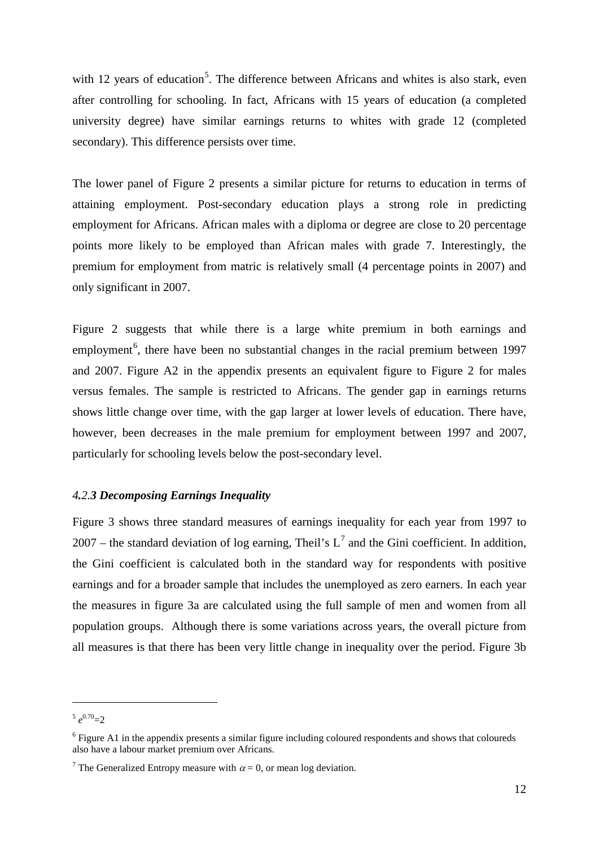with 12 years of education<sup>[5](#page-11-0)</sup>. The difference between Africans and whites is also stark, even after controlling for schooling. In fact, Africans with 15 years of education (a completed university degree) have similar earnings returns to whites with grade 12 (completed secondary). This difference persists over time.

The lower panel of Figure 2 presents a similar picture for returns to education in terms of attaining employment. Post-secondary education plays a strong role in predicting employment for Africans. African males with a diploma or degree are close to 20 percentage points more likely to be employed than African males with grade 7. Interestingly, the premium for employment from matric is relatively small (4 percentage points in 2007) and only significant in 2007.

Figure 2 suggests that while there is a large white premium in both earnings and employment<sup>[6](#page-11-1)</sup>, there have been no substantial changes in the racial premium between 1997 and 2007. Figure A2 in the appendix presents an equivalent figure to Figure 2 for males versus females. The sample is restricted to Africans. The gender gap in earnings returns shows little change over time, with the gap larger at lower levels of education. There have, however, been decreases in the male premium for employment between 1997 and 2007, particularly for schooling levels below the post-secondary level.

#### *4.2.3 Decomposing Earnings Inequality*

Figure 3 shows three standard measures of earnings inequality for each year from 1997 to 200[7](#page-11-2) – the standard deviation of log earning, Theil's  $L^7$  and the Gini coefficient. In addition, the Gini coefficient is calculated both in the standard way for respondents with positive earnings and for a broader sample that includes the unemployed as zero earners. In each year the measures in figure 3a are calculated using the full sample of men and women from all population groups. Although there is some variations across years, the overall picture from all measures is that there has been very little change in inequality over the period. Figure 3b

<u>.</u>

<span id="page-11-0"></span> $e^{0.70}$ =2

<span id="page-11-1"></span><sup>&</sup>lt;sup>6</sup> Figure A1 in the appendix presents a similar figure including coloured respondents and shows that coloureds also have a labour market premium over Africans.

<span id="page-11-2"></span><sup>&</sup>lt;sup>7</sup> The Generalized Entropy measure with  $\alpha = 0$ , or mean log deviation.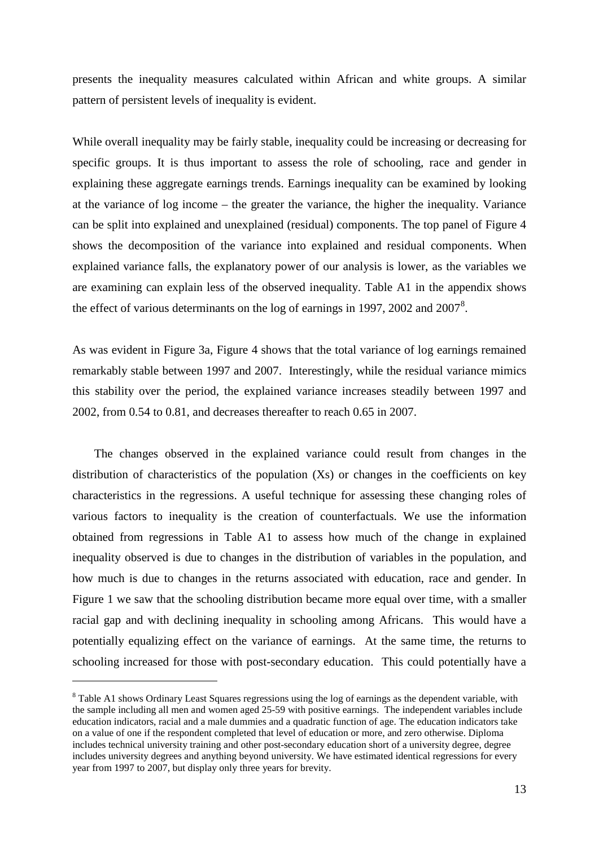presents the inequality measures calculated within African and white groups. A similar pattern of persistent levels of inequality is evident.

While overall inequality may be fairly stable, inequality could be increasing or decreasing for specific groups. It is thus important to assess the role of schooling, race and gender in explaining these aggregate earnings trends. Earnings inequality can be examined by looking at the variance of log income – the greater the variance, the higher the inequality. Variance can be split into explained and unexplained (residual) components. The top panel of Figure 4 shows the decomposition of the variance into explained and residual components. When explained variance falls, the explanatory power of our analysis is lower, as the variables we are examining can explain less of the observed inequality. Table A1 in the appendix shows the effect of various determinants on the log of earnings in 1997, 2002 and  $2007<sup>8</sup>$  $2007<sup>8</sup>$  $2007<sup>8</sup>$ .

As was evident in Figure 3a, Figure 4 shows that the total variance of log earnings remained remarkably stable between 1997 and 2007. Interestingly, while the residual variance mimics this stability over the period, the explained variance increases steadily between 1997 and 2002, from 0.54 to 0.81, and decreases thereafter to reach 0.65 in 2007.

The changes observed in the explained variance could result from changes in the distribution of characteristics of the population (Xs) or changes in the coefficients on key characteristics in the regressions. A useful technique for assessing these changing roles of various factors to inequality is the creation of counterfactuals. We use the information obtained from regressions in Table A1 to assess how much of the change in explained inequality observed is due to changes in the distribution of variables in the population, and how much is due to changes in the returns associated with education, race and gender. In Figure 1 we saw that the schooling distribution became more equal over time, with a smaller racial gap and with declining inequality in schooling among Africans. This would have a potentially equalizing effect on the variance of earnings. At the same time, the returns to schooling increased for those with post-secondary education. This could potentially have a

<u>.</u>

<span id="page-12-0"></span><sup>&</sup>lt;sup>8</sup> Table A1 shows Ordinary Least Squares regressions using the log of earnings as the dependent variable, with the sample including all men and women aged 25-59 with positive earnings. The independent variables include education indicators, racial and a male dummies and a quadratic function of age. The education indicators take on a value of one if the respondent completed that level of education or more, and zero otherwise. Diploma includes technical university training and other post-secondary education short of a university degree, degree includes university degrees and anything beyond university. We have estimated identical regressions for every year from 1997 to 2007, but display only three years for brevity.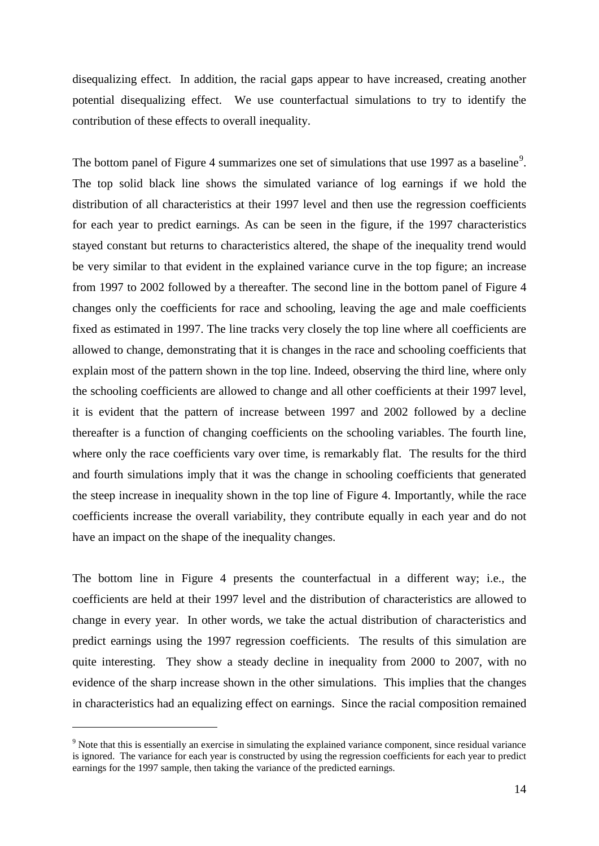disequalizing effect. In addition, the racial gaps appear to have increased, creating another potential disequalizing effect. We use counterfactual simulations to try to identify the contribution of these effects to overall inequality.

The bottom panel of Figure 4 summarizes one set of simulations that use 1[9](#page-13-0)97 as a baseline<sup>9</sup>. The top solid black line shows the simulated variance of log earnings if we hold the distribution of all characteristics at their 1997 level and then use the regression coefficients for each year to predict earnings. As can be seen in the figure, if the 1997 characteristics stayed constant but returns to characteristics altered, the shape of the inequality trend would be very similar to that evident in the explained variance curve in the top figure; an increase from 1997 to 2002 followed by a thereafter. The second line in the bottom panel of Figure 4 changes only the coefficients for race and schooling, leaving the age and male coefficients fixed as estimated in 1997. The line tracks very closely the top line where all coefficients are allowed to change, demonstrating that it is changes in the race and schooling coefficients that explain most of the pattern shown in the top line. Indeed, observing the third line, where only the schooling coefficients are allowed to change and all other coefficients at their 1997 level, it is evident that the pattern of increase between 1997 and 2002 followed by a decline thereafter is a function of changing coefficients on the schooling variables. The fourth line, where only the race coefficients vary over time, is remarkably flat. The results for the third and fourth simulations imply that it was the change in schooling coefficients that generated the steep increase in inequality shown in the top line of Figure 4. Importantly, while the race coefficients increase the overall variability, they contribute equally in each year and do not have an impact on the shape of the inequality changes.

The bottom line in Figure 4 presents the counterfactual in a different way; i.e., the coefficients are held at their 1997 level and the distribution of characteristics are allowed to change in every year. In other words, we take the actual distribution of characteristics and predict earnings using the 1997 regression coefficients. The results of this simulation are quite interesting. They show a steady decline in inequality from 2000 to 2007, with no evidence of the sharp increase shown in the other simulations. This implies that the changes in characteristics had an equalizing effect on earnings. Since the racial composition remained

-

<span id="page-13-0"></span><sup>9</sup> Note that this is essentially an exercise in simulating the explained variance component, since residual variance is ignored. The variance for each year is constructed by using the regression coefficients for each year to predict earnings for the 1997 sample, then taking the variance of the predicted earnings.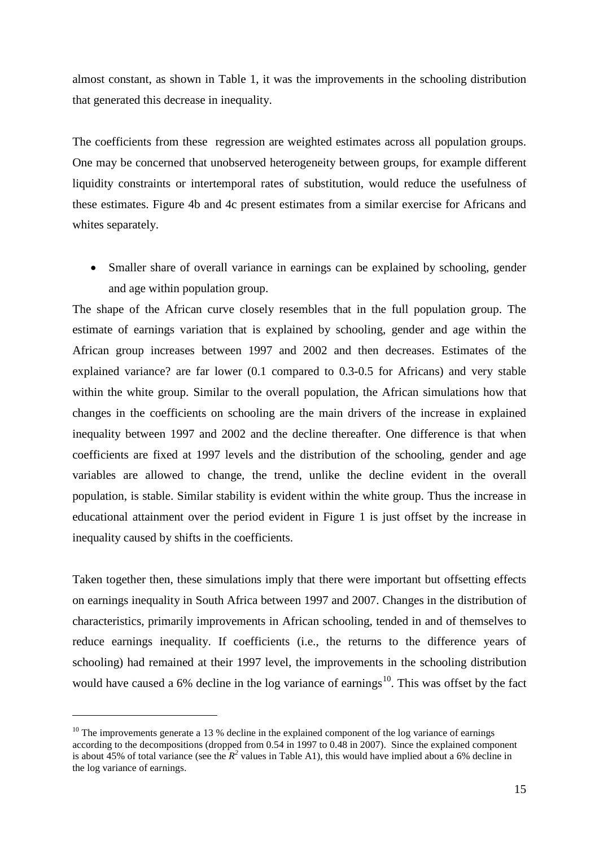almost constant, as shown in Table 1, it was the improvements in the schooling distribution that generated this decrease in inequality.

The coefficients from these regression are weighted estimates across all population groups. One may be concerned that unobserved heterogeneity between groups, for example different liquidity constraints or intertemporal rates of substitution, would reduce the usefulness of these estimates. Figure 4b and 4c present estimates from a similar exercise for Africans and whites separately.

• Smaller share of overall variance in earnings can be explained by schooling, gender and age within population group.

The shape of the African curve closely resembles that in the full population group. The estimate of earnings variation that is explained by schooling, gender and age within the African group increases between 1997 and 2002 and then decreases. Estimates of the explained variance? are far lower (0.1 compared to 0.3-0.5 for Africans) and very stable within the white group. Similar to the overall population, the African simulations how that changes in the coefficients on schooling are the main drivers of the increase in explained inequality between 1997 and 2002 and the decline thereafter. One difference is that when coefficients are fixed at 1997 levels and the distribution of the schooling, gender and age variables are allowed to change, the trend, unlike the decline evident in the overall population, is stable. Similar stability is evident within the white group. Thus the increase in educational attainment over the period evident in Figure 1 is just offset by the increase in inequality caused by shifts in the coefficients.

Taken together then, these simulations imply that there were important but offsetting effects on earnings inequality in South Africa between 1997 and 2007. Changes in the distribution of characteristics, primarily improvements in African schooling, tended in and of themselves to reduce earnings inequality. If coefficients (i.e., the returns to the difference years of schooling) had remained at their 1997 level, the improvements in the schooling distribution would have caused a 6% decline in the log variance of earnings<sup>10</sup>. This was offset by the fact

<u>.</u>

<span id="page-14-0"></span> $10$  The improvements generate a 13 % decline in the explained component of the log variance of earnings according to the decompositions (dropped from 0.54 in 1997 to 0.48 in 2007). Since the explained component is about 45% of total variance (see the  $R^2$  values in Table A1), this would have implied about a 6% decline in the log variance of earnings.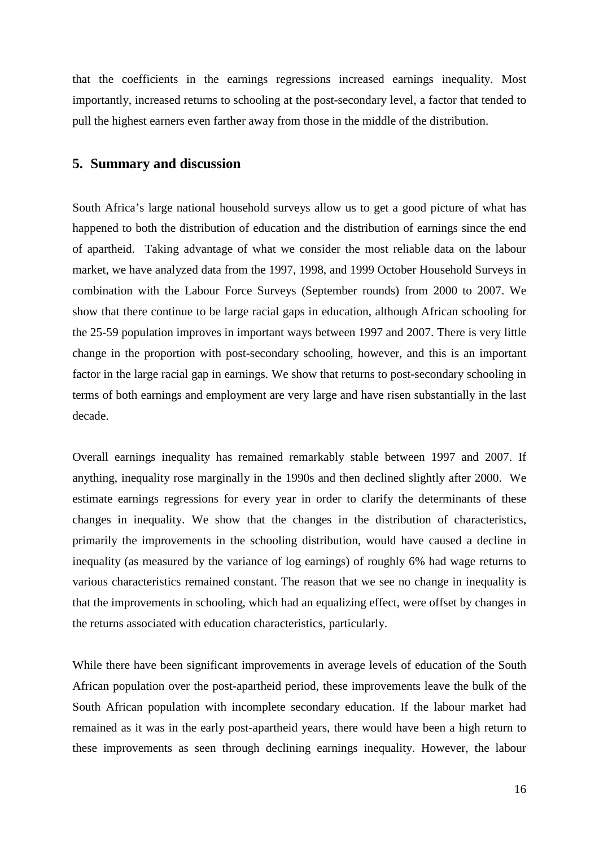that the coefficients in the earnings regressions increased earnings inequality. Most importantly, increased returns to schooling at the post-secondary level, a factor that tended to pull the highest earners even farther away from those in the middle of the distribution.

## **5. Summary and discussion**

South Africa's large national household surveys allow us to get a good picture of what has happened to both the distribution of education and the distribution of earnings since the end of apartheid. Taking advantage of what we consider the most reliable data on the labour market, we have analyzed data from the 1997, 1998, and 1999 October Household Surveys in combination with the Labour Force Surveys (September rounds) from 2000 to 2007. We show that there continue to be large racial gaps in education, although African schooling for the 25-59 population improves in important ways between 1997 and 2007. There is very little change in the proportion with post-secondary schooling, however, and this is an important factor in the large racial gap in earnings. We show that returns to post-secondary schooling in terms of both earnings and employment are very large and have risen substantially in the last decade.

Overall earnings inequality has remained remarkably stable between 1997 and 2007. If anything, inequality rose marginally in the 1990s and then declined slightly after 2000. We estimate earnings regressions for every year in order to clarify the determinants of these changes in inequality. We show that the changes in the distribution of characteristics, primarily the improvements in the schooling distribution, would have caused a decline in inequality (as measured by the variance of log earnings) of roughly 6% had wage returns to various characteristics remained constant. The reason that we see no change in inequality is that the improvements in schooling, which had an equalizing effect, were offset by changes in the returns associated with education characteristics, particularly.

While there have been significant improvements in average levels of education of the South African population over the post-apartheid period, these improvements leave the bulk of the South African population with incomplete secondary education. If the labour market had remained as it was in the early post-apartheid years, there would have been a high return to these improvements as seen through declining earnings inequality. However, the labour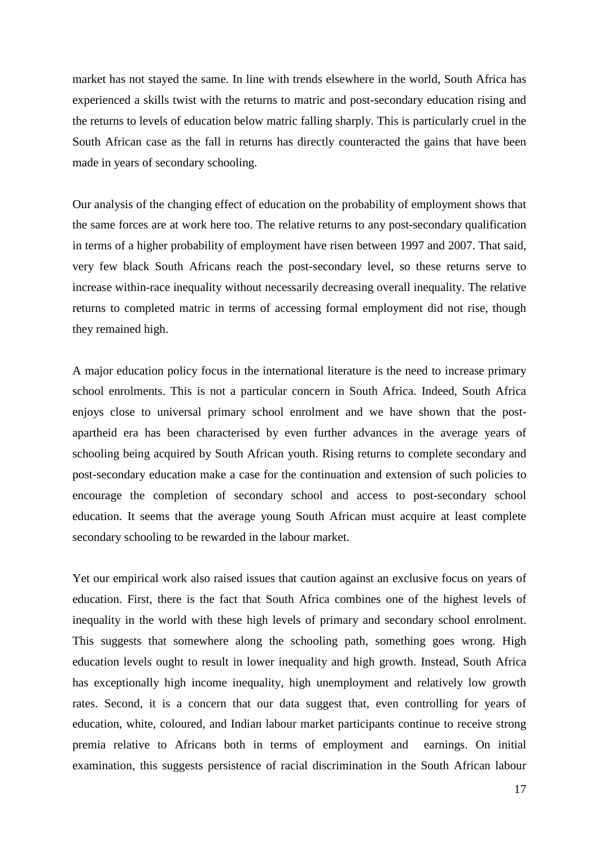market has not stayed the same. In line with trends elsewhere in the world, South Africa has experienced a skills twist with the returns to matric and post-secondary education rising and the returns to levels of education below matric falling sharply. This is particularly cruel in the South African case as the fall in returns has directly counteracted the gains that have been made in years of secondary schooling.

Our analysis of the changing effect of education on the probability of employment shows that the same forces are at work here too. The relative returns to any post-secondary qualification in terms of a higher probability of employment have risen between 1997 and 2007. That said, very few black South Africans reach the post-secondary level, so these returns serve to increase within-race inequality without necessarily decreasing overall inequality. The relative returns to completed matric in terms of accessing formal employment did not rise, though they remained high.

A major education policy focus in the international literature is the need to increase primary school enrolments. This is not a particular concern in South Africa. Indeed, South Africa enjoys close to universal primary school enrolment and we have shown that the postapartheid era has been characterised by even further advances in the average years of schooling being acquired by South African youth. Rising returns to complete secondary and post-secondary education make a case for the continuation and extension of such policies to encourage the completion of secondary school and access to post-secondary school education. It seems that the average young South African must acquire at least complete secondary schooling to be rewarded in the labour market.

Yet our empirical work also raised issues that caution against an exclusive focus on years of education. First, there is the fact that South Africa combines one of the highest levels of inequality in the world with these high levels of primary and secondary school enrolment. This suggests that somewhere along the schooling path, something goes wrong. High education levels ought to result in lower inequality and high growth. Instead, South Africa has exceptionally high income inequality, high unemployment and relatively low growth rates. Second, it is a concern that our data suggest that, even controlling for years of education, white, coloured, and Indian labour market participants continue to receive strong premia relative to Africans both in terms of employment and earnings. On initial examination, this suggests persistence of racial discrimination in the South African labour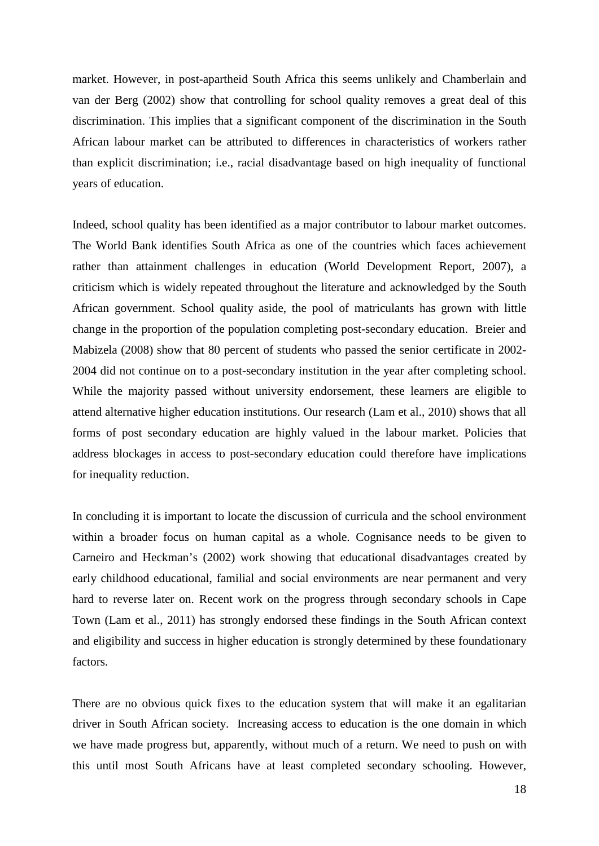market. However, in post-apartheid South Africa this seems unlikely and Chamberlain and van der Berg (2002) show that controlling for school quality removes a great deal of this discrimination. This implies that a significant component of the discrimination in the South African labour market can be attributed to differences in characteristics of workers rather than explicit discrimination; i.e., racial disadvantage based on high inequality of functional years of education.

Indeed, school quality has been identified as a major contributor to labour market outcomes. The World Bank identifies South Africa as one of the countries which faces achievement rather than attainment challenges in education (World Development Report, 2007), a criticism which is widely repeated throughout the literature and acknowledged by the South African government. School quality aside, the pool of matriculants has grown with little change in the proportion of the population completing post-secondary education. Breier and Mabizela (2008) show that 80 percent of students who passed the senior certificate in 2002- 2004 did not continue on to a post-secondary institution in the year after completing school. While the majority passed without university endorsement, these learners are eligible to attend alternative higher education institutions. Our research (Lam et al., 2010) shows that all forms of post secondary education are highly valued in the labour market. Policies that address blockages in access to post-secondary education could therefore have implications for inequality reduction.

In concluding it is important to locate the discussion of curricula and the school environment within a broader focus on human capital as a whole. Cognisance needs to be given to Carneiro and Heckman's (2002) work showing that educational disadvantages created by early childhood educational, familial and social environments are near permanent and very hard to reverse later on. Recent work on the progress through secondary schools in Cape Town (Lam et al., 2011) has strongly endorsed these findings in the South African context and eligibility and success in higher education is strongly determined by these foundationary factors.

There are no obvious quick fixes to the education system that will make it an egalitarian driver in South African society. Increasing access to education is the one domain in which we have made progress but, apparently, without much of a return. We need to push on with this until most South Africans have at least completed secondary schooling. However,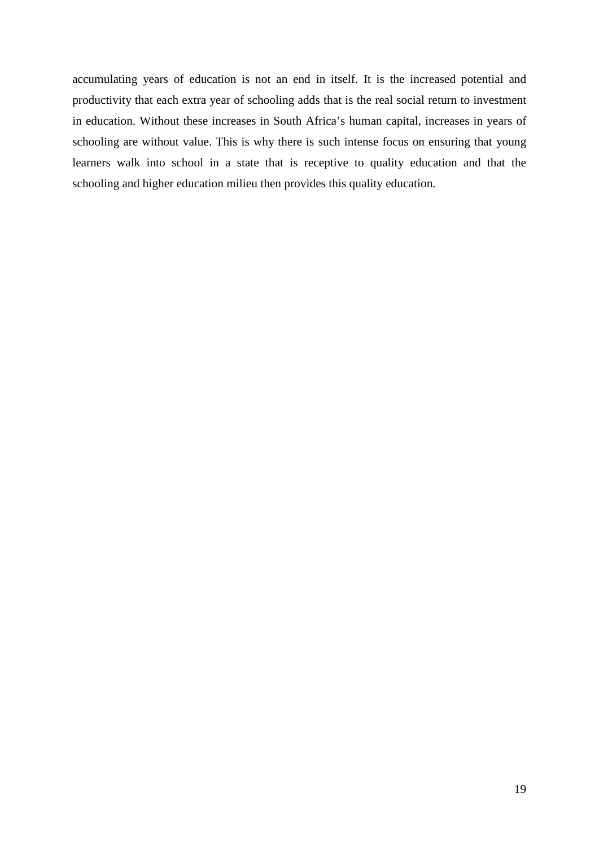accumulating years of education is not an end in itself. It is the increased potential and productivity that each extra year of schooling adds that is the real social return to investment in education. Without these increases in South Africa's human capital, increases in years of schooling are without value. This is why there is such intense focus on ensuring that young learners walk into school in a state that is receptive to quality education and that the schooling and higher education milieu then provides this quality education.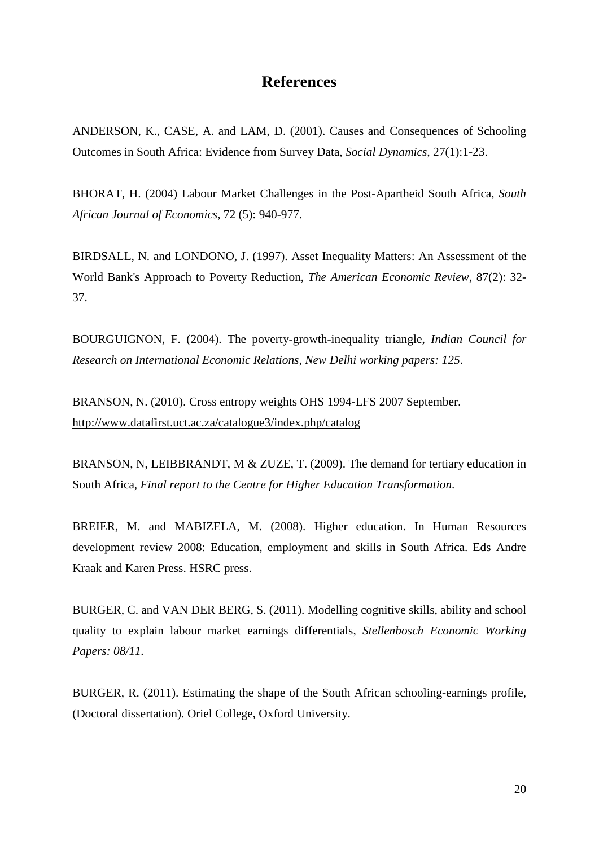# **References**

ANDERSON, K., CASE, A. and LAM, D. (2001). Causes and Consequences of Schooling Outcomes in South Africa: Evidence from Survey Data, *Social Dynamics,* 27(1):1-23.

BHORAT, H. (2004) Labour Market Challenges in the Post-Apartheid South Africa, *South African Journal of Economics*, 72 (5): 940-977.

BIRDSALL, N. and LONDONO, J. (1997). Asset Inequality Matters: An Assessment of the World Bank's Approach to Poverty Reduction, *The American Economic Review*, 87(2): 32- 37.

BOURGUIGNON, F. (2004). The poverty-growth-inequality triangle, *Indian Council for Research on International Economic Relations, New Delhi working papers: 125*.

BRANSON, N. (2010). Cross entropy weights OHS 1994-LFS 2007 September. <http://www.datafirst.uct.ac.za/catalogue3/index.php/catalog>

BRANSON, N, LEIBBRANDT, M & ZUZE, T. (2009). The demand for tertiary education in South Africa, *Final report to the Centre for Higher Education Transformation*.

BREIER, M. and MABIZELA, M. (2008). Higher education. In Human Resources development review 2008: Education, employment and skills in South Africa. Eds Andre Kraak and Karen Press. HSRC press.

BURGER, C. and VAN DER BERG, S. (2011). Modelling cognitive skills, ability and school quality to explain labour market earnings differentials, *Stellenbosch Economic Working Papers: 08/11.*

BURGER, R. (2011). Estimating the shape of the South African schooling-earnings profile, (Doctoral dissertation). Oriel College, Oxford University.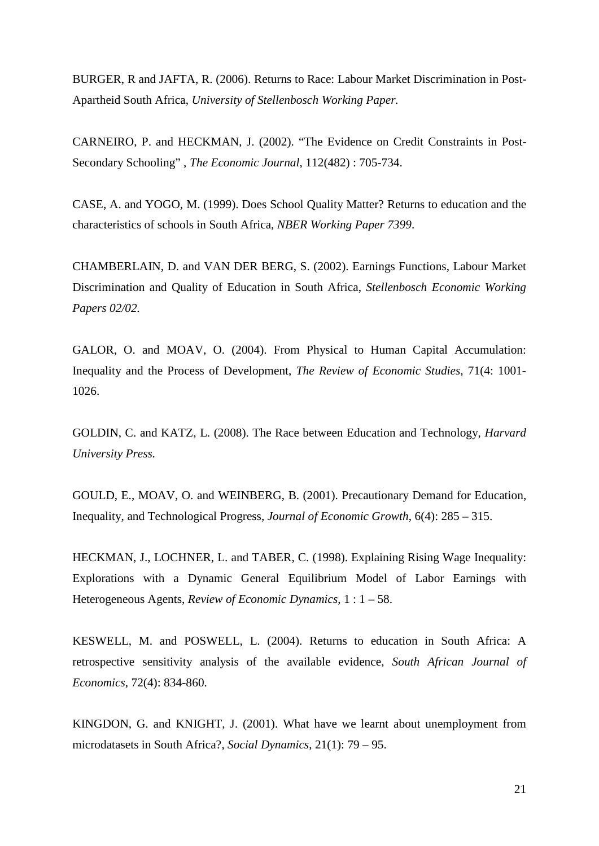BURGER, R and JAFTA, R. (2006). Returns to Race: Labour Market Discrimination in Post-Apartheid South Africa, *University of Stellenbosch Working Paper.*

CARNEIRO, P. and HECKMAN, J. (2002). "The Evidence on Credit Constraints in Post-Secondary Schooling" , *The Economic Journal*, 112(482) : 705-734.

CASE, A. and YOGO, M. (1999). Does School Quality Matter? Returns to education and the characteristics of schools in South Africa, *NBER Working Paper 7399*.

CHAMBERLAIN, D. and VAN DER BERG, S. (2002). Earnings Functions, Labour Market Discrimination and Quality of Education in South Africa, *Stellenbosch Economic Working Papers 02/02.*

GALOR, O. and MOAV, O. (2004). From Physical to Human Capital Accumulation: Inequality and the Process of Development, *The Review of Economic Studies*, 71(4: 1001- 1026.

GOLDIN, C. and KATZ, L. (2008). The Race between Education and Technology, *Harvard University Press.*

GOULD, E., MOAV, O. and WEINBERG, B. (2001). Precautionary Demand for Education, Inequality, and Technological Progress, *Journal of Economic Growth*, 6(4): 285 – 315.

HECKMAN, J., LOCHNER, L. and TABER, C. (1998). Explaining Rising Wage Inequality: Explorations with a Dynamic General Equilibrium Model of Labor Earnings with Heterogeneous Agents, *Review of Economic Dynamics*, 1 : 1 – 58.

KESWELL, M. and POSWELL, L. (2004). Returns to education in South Africa: A retrospective sensitivity analysis of the available evidence, *South African Journal of Economics*, 72(4): 834-860.

KINGDON, G. and KNIGHT, J. (2001). What have we learnt about unemployment from microdatasets in South Africa?, *Social Dynamics*, 21(1): 79 – 95.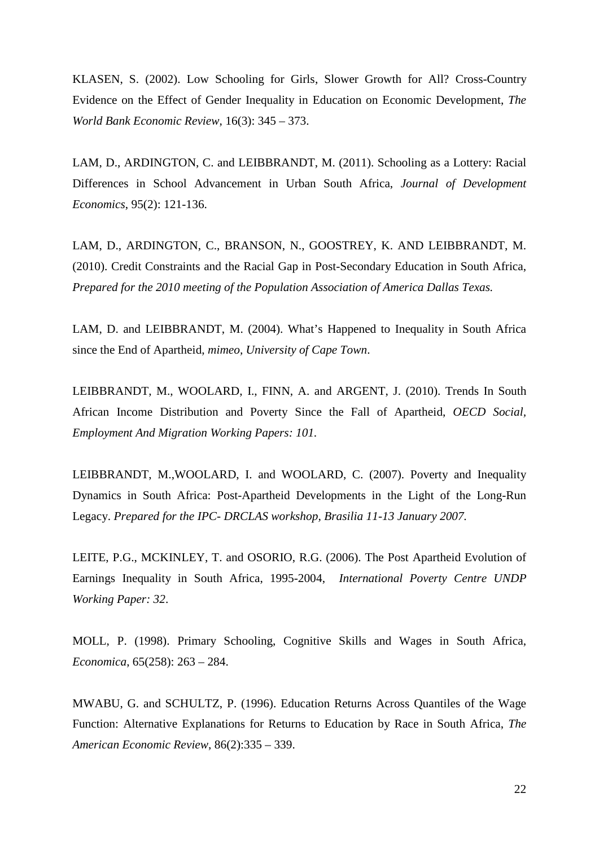KLASEN, S. (2002). Low Schooling for Girls, Slower Growth for All? Cross-Country Evidence on the Effect of Gender Inequality in Education on Economic Development, *The World Bank Economic Review*, 16(3): 345 – 373.

LAM, D., ARDINGTON, C. and LEIBBRANDT, M. (2011). Schooling as a Lottery: Racial Differences in School Advancement in Urban South Africa, *Journal of Development Economics*, 95(2): 121-136.

LAM, D., ARDINGTON, C., BRANSON, N., GOOSTREY, K. AND LEIBBRANDT, M. (2010). Credit Constraints and the Racial Gap in Post-Secondary Education in South Africa, *Prepared for the 2010 meeting of the Population Association of America Dallas Texas.*

LAM, D. and LEIBBRANDT, M. (2004). What's Happened to Inequality in South Africa since the End of Apartheid, *mimeo, University of Cape Town*.

LEIBBRANDT, M., WOOLARD, I., FINN, A. and ARGENT, J. (2010). Trends In South African Income Distribution and Poverty Since the Fall of Apartheid, *OECD Social, Employment And Migration Working Papers: 101.*

LEIBBRANDT, M.,WOOLARD, I. and WOOLARD, C. (2007). Poverty and Inequality Dynamics in South Africa: Post-Apartheid Developments in the Light of the Long-Run Legacy. *Prepared for the IPC- DRCLAS workshop, Brasilia 11-13 January 2007.*

LEITE, P.G., MCKINLEY, T. and OSORIO, R.G. (2006). The Post Apartheid Evolution of Earnings Inequality in South Africa, 1995-2004, *International Poverty Centre UNDP Working Paper: 32*.

MOLL, P. (1998). Primary Schooling, Cognitive Skills and Wages in South Africa, *Economica*, 65(258): 263 – 284.

MWABU, G. and SCHULTZ, P. (1996). Education Returns Across Quantiles of the Wage Function: Alternative Explanations for Returns to Education by Race in South Africa, *The American Economic Review*, 86(2):335 – 339.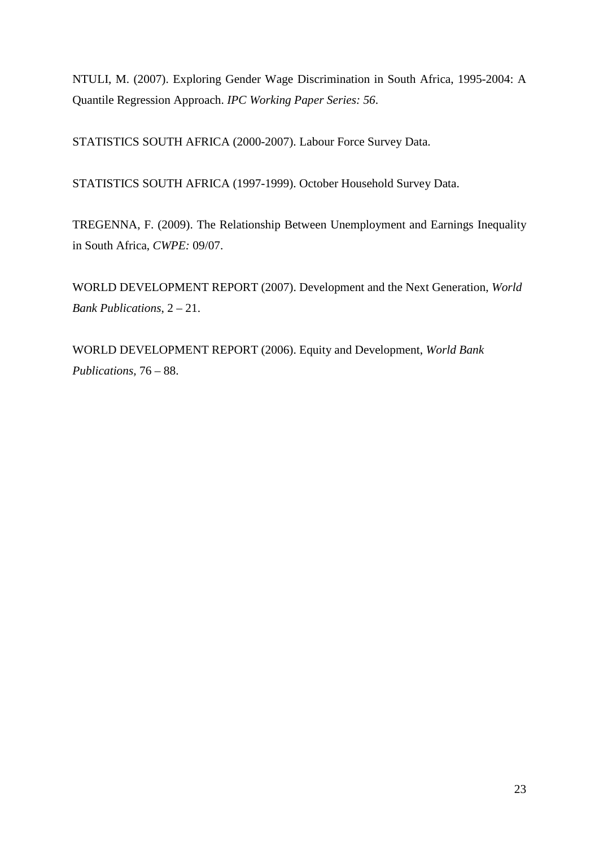NTULI, M. (2007). Exploring Gender Wage Discrimination in South Africa, 1995-2004: A Quantile Regression Approach. *IPC Working Paper Series: 56*.

STATISTICS SOUTH AFRICA (2000-2007). Labour Force Survey Data.

STATISTICS SOUTH AFRICA (1997-1999). October Household Survey Data.

TREGENNA, F. (2009). The Relationship Between Unemployment and Earnings Inequality in South Africa, *CWPE:* 09/07.

WORLD DEVELOPMENT REPORT (2007). Development and the Next Generation, *World Bank Publications*, 2 – 21.

WORLD DEVELOPMENT REPORT (2006). Equity and Development, *World Bank Publications,* 76 – 88.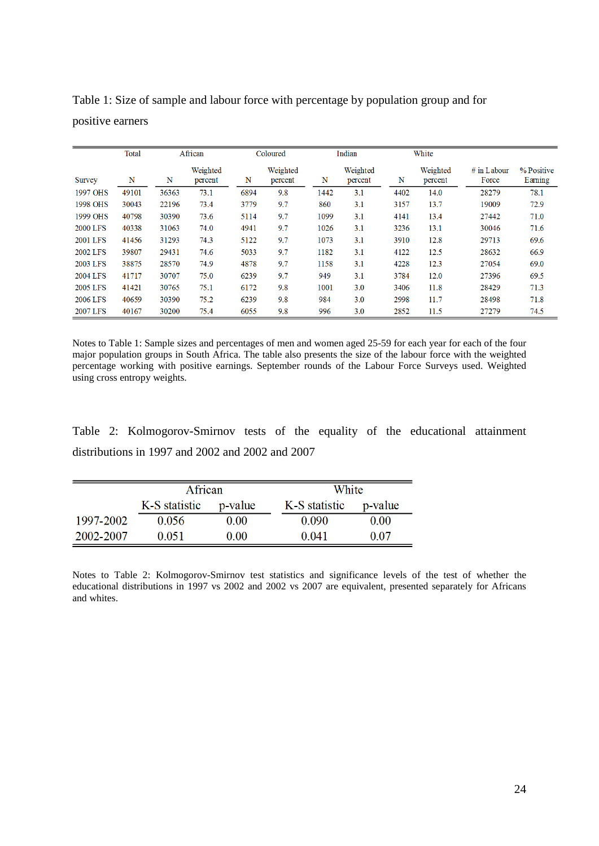|                 | Total |       | African             |      | Coloured            |      | Indian              |      | White               |                        |                       |
|-----------------|-------|-------|---------------------|------|---------------------|------|---------------------|------|---------------------|------------------------|-----------------------|
| Survey          | N     | N     | Weighted<br>percent | N    | Weighted<br>percent | N    | Weighted<br>percent | N    | Weighted<br>percent | $#$ in Labour<br>Force | % Positive<br>Earning |
| 1997 OHS        | 49101 | 36363 | 73.1                | 6894 | 9.8                 | 1442 | 3.1                 | 4402 | 14.0                | 28279                  | 78.1                  |
| 1998 OHS        | 30043 | 22196 | 73.4                | 3779 | 9.7                 | 860  | 3.1                 | 3157 | 13.7                | 19009                  | 72.9                  |
| 1999 OHS        | 40798 | 30390 | 73.6                | 5114 | 9.7                 | 1099 | 3.1                 | 4141 | 13.4                | 27442                  | 71.0                  |
| <b>2000 LFS</b> | 40338 | 31063 | 74.0                | 4941 | 9.7                 | 1026 | 3.1                 | 3236 | 13.1                | 30046                  | 71.6                  |
| <b>2001 LFS</b> | 41456 | 31293 | 74.3                | 5122 | 9.7                 | 1073 | 3.1                 | 3910 | 12.8                | 29713                  | 69.6                  |
| 2002 LFS        | 39807 | 29431 | 74.6                | 5033 | 9.7                 | 1182 | 3.1                 | 4122 | 12.5                | 28632                  | 66.9                  |
| 2003 LFS        | 38875 | 28570 | 74.9                | 4878 | 9.7                 | 1158 | 3.1                 | 4228 | 12.3                | 27054                  | 69.0                  |
| 2004 LFS        | 41717 | 30707 | 75.0                | 6239 | 9.7                 | 949  | 3.1                 | 3784 | 12.0                | 27396                  | 69.5                  |
| 2005 LFS        | 41421 | 30765 | 75.1                | 6172 | 9.8                 | 1001 | 3.0                 | 3406 | 11.8                | 28429                  | 71.3                  |
| 2006 LFS        | 40659 | 30390 | 75.2                | 6239 | 9.8                 | 984  | 3.0                 | 2998 | 11.7                | 28498                  | 71.8                  |
| 2007 LFS        | 40167 | 30200 | 75.4                | 6055 | 9.8                 | 996  | 3.0                 | 2852 | 11.5                | 27279                  | 74.5                  |

Table 1: Size of sample and labour force with percentage by population group and for positive earners

Notes to Table 1: Sample sizes and percentages of men and women aged 25-59 for each year for each of the four major population groups in South Africa. The table also presents the size of the labour force with the weighted percentage working with positive earnings. September rounds of the Labour Force Surveys used. Weighted using cross entropy weights.

Table 2: Kolmogorov-Smirnov tests of the equality of the educational attainment distributions in 1997 and 2002 and 2002 and 2007

|           | African                  |      |               | White   |  |  |
|-----------|--------------------------|------|---------------|---------|--|--|
|           | K-S statistic<br>p-value |      | K-S statistic | p-value |  |  |
| 1997-2002 | 0.056                    | 0.00 | 0.090         | 0.00    |  |  |
| 2002-2007 | 0.051                    | 0.00 | 0.041         | 0.07    |  |  |

Notes to Table 2: Kolmogorov-Smirnov test statistics and significance levels of the test of whether the educational distributions in 1997 vs 2002 and 2002 vs 2007 are equivalent, presented separately for Africans and whites.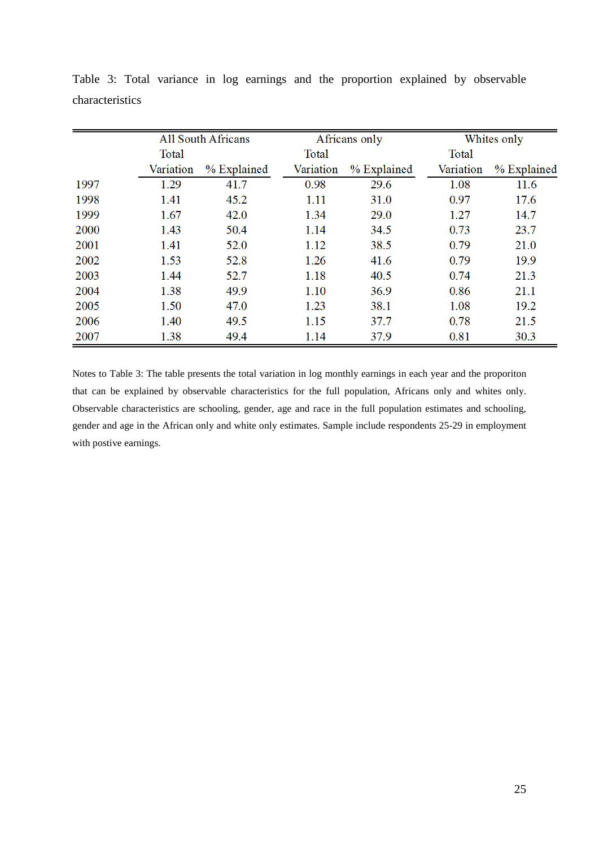|      |           | <b>All South Africans</b> |           | Africans only | Whites only |             |
|------|-----------|---------------------------|-----------|---------------|-------------|-------------|
|      | Total     |                           | Total     |               |             |             |
|      | Variation | % Explained               | Variation | % Explained   | Variation   | % Explained |
| 1997 | 1.29      | 41.7                      | 0.98      | 29.6          | 1.08        | 11.6        |
| 1998 | 1.41      | 45.2                      | 1.11      | 31.0          | 0.97        | 17.6        |
| 1999 | 1.67      | 42.0                      | 1.34      | 29.0          | 1.27        | 14.7        |
| 2000 | 1.43      | 50.4                      | 1.14      | 34.5          | 0.73        | 23.7        |
| 2001 | 1.41      | 52.0                      | 1.12      | 38.5          | 0.79        | 21.0        |
| 2002 | 1.53      | 52.8                      | 1.26      | 41.6          | 0.79        | 19.9        |
| 2003 | 1.44      | 52.7                      | 1.18      | 40.5          | 0.74        | 21.3        |
| 2004 | 1.38      | 49.9                      | 1.10      | 36.9          | 0.86        | 21.1        |
| 2005 | 1.50      | 47.0                      | 1.23      | 38.1          | 1.08        | 19.2        |
| 2006 | 1.40      | 49.5                      | 1.15      | 37.7          | 0.78        | 21.5        |
| 2007 | 1.38      | 49.4                      | 1.14      | 37.9          | 0.81        | 30.3        |

Table 3: Total variance in log earnings and the proportion explained by observable characteristics

Notes to Table 3: The table presents the total variation in log monthly earnings in each year and the proporiton that can be explained by observable characteristics for the full population, Africans only and whites only. Observable characteristics are schooling, gender, age and race in the full population estimates and schooling, gender and age in the African only and white only estimates. Sample include respondents 25-29 in employment with postive earnings.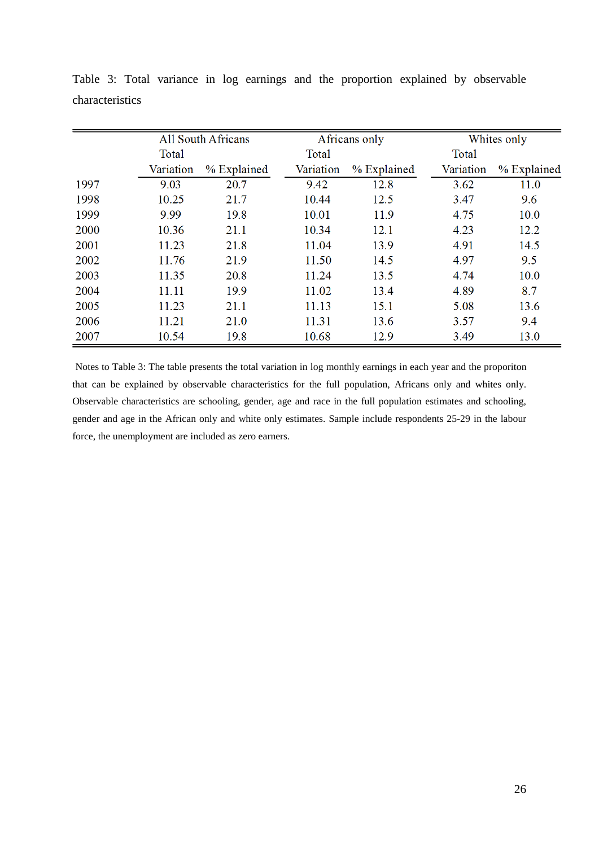|      |           | <b>All South Africans</b> |           | Africans only | Whites only |             |
|------|-----------|---------------------------|-----------|---------------|-------------|-------------|
|      | Total     |                           | Total     |               |             |             |
|      | Variation | % Explained               | Variation | % Explained   | Variation   | % Explained |
| 1997 | 9.03      | 20.7                      | 9.42      | 12.8          | 3.62        | 11.0        |
| 1998 | 10.25     | 21.7                      | 10.44     | 12.5          | 3.47        | 9.6         |
| 1999 | 9.99      | 19.8                      | 10.01     | 11.9          | 4.75        | 10.0        |
| 2000 | 10.36     | 21.1                      | 10.34     | 12.1          | 4.23        | 12.2        |
| 2001 | 11.23     | 21.8                      | 11.04     | 13.9          | 4.91        | 14.5        |
| 2002 | 11.76     | 21.9                      | 11.50     | 14.5          | 4.97        | 9.5         |
| 2003 | 11.35     | 20.8                      | 11.24     | 13.5          | 4.74        | 10.0        |
| 2004 | 11.11     | 19.9                      | 11.02     | 13.4          | 4.89        | 8.7         |
| 2005 | 11.23     | 21.1                      | 11.13     | 15.1          | 5.08        | 13.6        |
| 2006 | 11.21     | 21.0                      | 11.31     | 13.6          | 3.57        | 9.4         |
| 2007 | 10.54     | 19.8                      | 10.68     | 12.9          | 3.49        | 13.0        |

Table 3: Total variance in log earnings and the proportion explained by observable characteristics

Notes to Table 3: The table presents the total variation in log monthly earnings in each year and the proporiton that can be explained by observable characteristics for the full population, Africans only and whites only. Observable characteristics are schooling, gender, age and race in the full population estimates and schooling, gender and age in the African only and white only estimates. Sample include respondents 25-29 in the labour force, the unemployment are included as zero earners.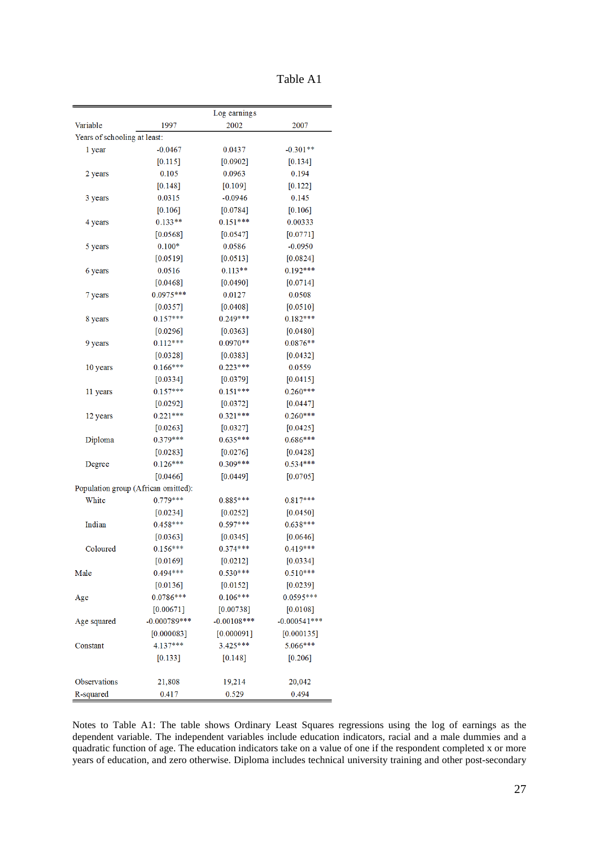| Table A1 |  |
|----------|--|
|----------|--|

|                                     | Log earnings   |               |                |  |  |  |  |
|-------------------------------------|----------------|---------------|----------------|--|--|--|--|
| Variable                            | 1997           | 2002          | 2007           |  |  |  |  |
| Years of schooling at least:        |                |               |                |  |  |  |  |
| l year                              | $-0.0467$      | 0.0437        | $-0.301**$     |  |  |  |  |
|                                     | [0.115]        | [0.0902]      | [0.134]        |  |  |  |  |
| 2 years                             | 0.105          | 0.0963        | 0.194          |  |  |  |  |
|                                     | [0.148]        | $[0.109]$     | [0.122]        |  |  |  |  |
| 3 years                             | 0.0315         | $-0.0946$     | 0.145          |  |  |  |  |
|                                     | [0.106]        | [0.0784]      | [0.106]        |  |  |  |  |
| 4 years                             | $0.133**$      | $0.151***$    | 0.00333        |  |  |  |  |
|                                     | [0.0568]       | $[0.0547]$    | [0.0771]       |  |  |  |  |
| 5 years                             | $0.100*$       | 0.0586        | $-0.0950$      |  |  |  |  |
|                                     | [0.0519]       | [0.0513]      | [0.0824]       |  |  |  |  |
| 6 years                             | 0.0516         | $0.113**$     | $0.192***$     |  |  |  |  |
|                                     | [0.0468]       | $[0.0490]$    | [0.0714]       |  |  |  |  |
| 7 years                             | $0.0975***$    | 0.0127        | 0.0508         |  |  |  |  |
|                                     | [0.0357]       | [0.0408]      | [0.0510]       |  |  |  |  |
| 8 years                             | $0.157***$     | $0.249***$    | $0.182***$     |  |  |  |  |
|                                     | $[0.0296]$     | $[0.0363]$    | [0.0480]       |  |  |  |  |
| 9 years                             | $0.112***$     | $0.0970**$    | $0.0876**$     |  |  |  |  |
|                                     | [0.0328]       | [0.0383]      | [0.0432]       |  |  |  |  |
| 10 years                            | $0.166***$     | $0.223***$    | 0.0559         |  |  |  |  |
|                                     | [0.0334]       | [0.0379]      | [0.0415]       |  |  |  |  |
| 11 years                            | $0.157***$     | $0.151***$    | $0.260***$     |  |  |  |  |
|                                     | [0.0292]       | $[0.0372]$    | [0.0447]       |  |  |  |  |
| 12 years                            | $0.221***$     | $0.321***$    | $0.260***$     |  |  |  |  |
|                                     | [0.0263]       | [0.0327]      | [0.0425]       |  |  |  |  |
| Diploma                             | $0.379***$     | $0.635***$    | $0.686***$     |  |  |  |  |
|                                     | $[0.0283]$     | [0.0276]      | [0.0428]       |  |  |  |  |
| Degree                              | $0.126***$     | $0.309***$    | $0.534***$     |  |  |  |  |
|                                     | [0.0466]       | [0.0449]      | [0.0705]       |  |  |  |  |
| Population group (African omitted): |                |               |                |  |  |  |  |
| White                               | $0.779***$     | $0.885***$    | $0.817***$     |  |  |  |  |
|                                     | [0.0234]       | [0.0252]      | [0.0450]       |  |  |  |  |
| Indian                              | $0.458***$     | $0.597***$    | $0.638***$     |  |  |  |  |
|                                     | [0.0363]       | $[0.0345]$    | [0.0646]       |  |  |  |  |
| Coloured                            | $0.156***$     | $0.374***$    | 0.419***       |  |  |  |  |
|                                     | [0.0169]       | [0.0212]      | [0.0334]       |  |  |  |  |
| Male                                | 0.494***       | $0.530***$    | $0.510***$     |  |  |  |  |
|                                     | [0.0136]       | [0.0152]      | [0.0239]       |  |  |  |  |
| Age                                 | $0.0786***$    | $0.106***$    | $0.0595***$    |  |  |  |  |
|                                     | [0.00671]      | [0.00738]     | [0.0108]       |  |  |  |  |
| Age squared                         | $-0.000789***$ | $-0.00108***$ | $-0.000541***$ |  |  |  |  |
|                                     | [0.000083]     | [0.000091]    | [0.000135]     |  |  |  |  |
| Constant                            | $4.137***$     | $3.425***$    | 5.066***       |  |  |  |  |
|                                     | $[0.133]$      | [0.148]       | [0.206]        |  |  |  |  |
|                                     |                |               |                |  |  |  |  |
| Observations                        | 21,808         | 19,214        | 20,042         |  |  |  |  |
| R-squared                           | 0.417          | 0.529         | 0.494          |  |  |  |  |
|                                     |                |               |                |  |  |  |  |

Notes to Table A1: The table shows Ordinary Least Squares regressions using the log of earnings as the dependent variable. The independent variables include education indicators, racial and a male dummies and a quadratic function of age. The education indicators take on a value of one if the respondent completed x or more years of education, and zero otherwise. Diploma includes technical university training and other post-secondary